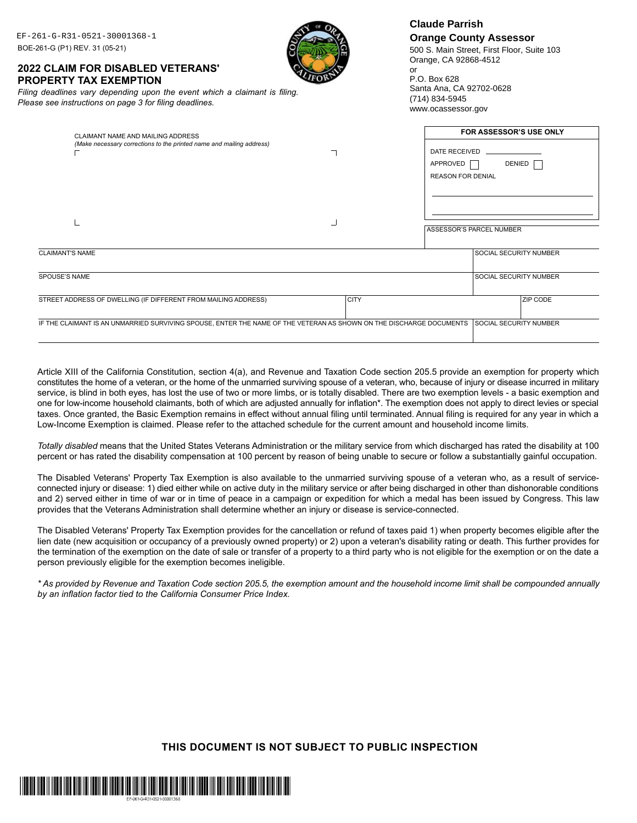| EF-261-G-R31-0521-30001368-1<br>BOE-261-G (P1) REV. 31 (05-21)<br><b>2022 CLAIM FOR DISABLED VETERANS'</b><br><b>PROPERTY TAX EXEMPTION</b><br>Filing deadlines vary depending upon the event which a claimant is filing.<br>Please see instructions on page 3 for filing deadlines. |             | <b>Claude Parrish</b><br><b>Orange County Assessor</b><br>500 S. Main Street, First Floor, Suite 103<br>Orange, CA 92868-4512<br>or<br>P.O. Box 628<br>Santa Ana, CA 92702-0628<br>(714) 834-5945<br>www.ocassessor.gov |
|--------------------------------------------------------------------------------------------------------------------------------------------------------------------------------------------------------------------------------------------------------------------------------------|-------------|-------------------------------------------------------------------------------------------------------------------------------------------------------------------------------------------------------------------------|
| CLAIMANT NAME AND MAILING ADDRESS<br>(Make necessary corrections to the printed name and mailing address)                                                                                                                                                                            |             | <b>FOR ASSESSOR'S USE ONLY</b><br>DATE RECEIVED<br>DENIED <sup>[</sup><br>APPROVED<br><b>REASON FOR DENIAL</b>                                                                                                          |
|                                                                                                                                                                                                                                                                                      |             | <b>ASSESSOR'S PARCEL NUMBER</b>                                                                                                                                                                                         |
| <b>CLAIMANT'S NAME</b><br>SPOUSE'S NAME                                                                                                                                                                                                                                              |             | SOCIAL SECURITY NUMBER<br>SOCIAL SECURITY NUMBER                                                                                                                                                                        |
| STREET ADDRESS OF DWELLING (IF DIFFERENT FROM MAILING ADDRESS)                                                                                                                                                                                                                       | <b>CITY</b> | <b>ZIP CODE</b>                                                                                                                                                                                                         |

Article XIII of the California Constitution, section 4(a), and Revenue and Taxation Code section 205.5 provide an exemption for property which constitutes the home of a veteran, or the home of the unmarried surviving spouse of a veteran, who, because of injury or disease incurred in military service, is blind in both eyes, has lost the use of two or more limbs, or is totally disabled. There are two exemption levels - a basic exemption and one for low-income household claimants, both of which are adjusted annually for inflation\*. The exemption does not apply to direct levies or special taxes. Once granted, the Basic Exemption remains in effect without annual filing until terminated. Annual filing is required for any year in which a Low-Income Exemption is claimed. Please refer to the attached schedule for the current amount and household income limits.

*Totally disabled* means that the United States Veterans Administration or the military service from which discharged has rated the disability at 100 percent or has rated the disability compensation at 100 percent by reason of being unable to secure or follow a substantially gainful occupation.

The Disabled Veterans' Property Tax Exemption is also available to the unmarried surviving spouse of a veteran who, as a result of serviceconnected injury or disease: 1) died either while on active duty in the military service or after being discharged in other than dishonorable conditions and 2) served either in time of war or in time of peace in a campaign or expedition for which a medal has been issued by Congress. This law provides that the Veterans Administration shall determine whether an injury or disease is service-connected.

The Disabled Veterans' Property Tax Exemption provides for the cancellation or refund of taxes paid 1) when property becomes eligible after the lien date (new acquisition or occupancy of a previously owned property) or 2) upon a veteran's disability rating or death. This further provides for the termination of the exemption on the date of sale or transfer of a property to a third party who is not eligible for the exemption or on the date a person previously eligible for the exemption becomes ineligible.

*\* As provided by Revenue and Taxation Code section 205.5, the exemption amount and the household income limit shall be compounded annually by an inflation factor tied to the California Consumer Price Index.*

## **ThIS DOCUMENT IS NOT SUBjECT TO PUBLIC INSPECTION**

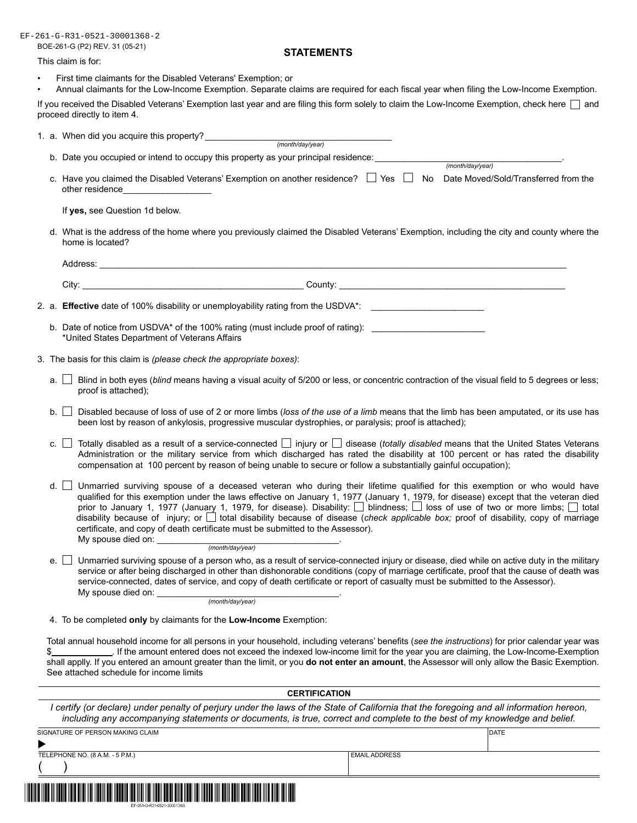BOE-261-G (P2) REV. 31 (05-21) EF-261-G-R31-0521-30001368-2

## **STATEMENTS**

#### This claim is for:

- First time claimants for the Disabled Veterans' Exemption; or
- Annual claimants for the Low-Income Exemption. Separate claims are required for each fiscal year when filing the Low-Income Exemption.

If you received the Disabled Veterans' Exemption last year and are filing this form solely to claim the Low-Income Exemption, check here and proceed directly to item 4.

|                                                                                                                                                               | b. Date you occupied or intend to occupy this property as your principal residence: ____________<br>(month/day/year)                                                                                                                                                                                                                                                                              |  |  |  |
|---------------------------------------------------------------------------------------------------------------------------------------------------------------|---------------------------------------------------------------------------------------------------------------------------------------------------------------------------------------------------------------------------------------------------------------------------------------------------------------------------------------------------------------------------------------------------|--|--|--|
|                                                                                                                                                               | c. Have you claimed the Disabled Veterans' Exemption on another residence?<br>Tes<br>The Date Moved/Sold/Transferred from the<br>other residence____________________                                                                                                                                                                                                                              |  |  |  |
|                                                                                                                                                               | If yes, see Question 1d below.                                                                                                                                                                                                                                                                                                                                                                    |  |  |  |
| d. What is the address of the home where you previously claimed the Disabled Veterans' Exemption, including the city and county where the<br>home is located? |                                                                                                                                                                                                                                                                                                                                                                                                   |  |  |  |
|                                                                                                                                                               |                                                                                                                                                                                                                                                                                                                                                                                                   |  |  |  |
|                                                                                                                                                               |                                                                                                                                                                                                                                                                                                                                                                                                   |  |  |  |
|                                                                                                                                                               | 2. a. Effective date of 100% disability or unemployability rating from the USDVA*: _________________                                                                                                                                                                                                                                                                                              |  |  |  |
|                                                                                                                                                               | b. Date of notice from USDVA* of the 100% rating (must include proof of rating):<br>*United States Department of Veterans Affairs                                                                                                                                                                                                                                                                 |  |  |  |
|                                                                                                                                                               | 3. The basis for this claim is (please check the appropriate boxes):                                                                                                                                                                                                                                                                                                                              |  |  |  |
|                                                                                                                                                               | Blind in both eyes (blind means having a visual acuity of 5/200 or less, or concentric contraction of the visual field to 5 degrees or less;<br>a.<br>proof is attached);                                                                                                                                                                                                                         |  |  |  |
|                                                                                                                                                               | Disabled because of loss of use of 2 or more limbs (loss of the use of a limb means that the limb has been amputated, or its use has<br>$b.$ $\vert$<br>been lost by reason of ankylosis, progressive muscular dystrophies, or paralysis; proof is attached);                                                                                                                                     |  |  |  |
| $c_{.}$                                                                                                                                                       | Totally disabled as a result of a service-connected $\Box$ injury or $\Box$ disease (totally disabled means that the United States Veterans<br>Administration or the military service from which discharged has rated the disability at 100 percent or has rated the disability<br>compensation at 100 percent by reason of being unable to secure or follow a substantially gainful occupation); |  |  |  |
| d. L                                                                                                                                                          | $\Box$ Unmarried surviving spouse of a deceased veteran who during their lifetime qualified for this exemption or who would have                                                                                                                                                                                                                                                                  |  |  |  |

qualified for this exemption under the laws effective on January 1, 1977 (January 1, 1979, for disease) except that the veteran died prior to January 1, 1977 (January 1, 1979, for disease). Disability: Dilindness; Dioss of use of two or more limbs; Diotal disability because of injury; or  $\Box$  total disability because of disease (check applicable box; proof of disability, copy of marriage certificate, and copy of death certificate must be submitted to the Assessor). My spouse died on:

(month/day/year)

e. Unmarried surviving spouse of a person who, as a result of service-connected injury or disease, died while on active duty in the military<br>service or after being discharged in other than dishonorable conditions (copy of service-connected, dates of service, and copy of death certificate or report of casualty must be submitted to the Assessor). My spouse died on:

(month/day/year)

4. To be completed **only** by claimants for the **Low-Income** Exemption:

Total annual household income for all persons in your household, including veterans' benefits (*see the instructions*) for prior calendar year was \$ *.* If the amount entered does not exceed the indexed low-income limit for the year you are claiming, the Low-Income-Exemption shall applly. If you entered an amount greater than the limit, or you **do not enter an amount**, the Assessor will only allow the Basic Exemption. See attached schedule for income limits

| <b>CERTIFICATION</b><br>l certify (or declare) under penalty of perjury under the laws of the State of California that the foregoing and all information hereon,<br>including any accompanying statements or documents, is true, correct and complete to the best of my knowledge and belief. |                      |  |  |  |  |
|-----------------------------------------------------------------------------------------------------------------------------------------------------------------------------------------------------------------------------------------------------------------------------------------------|----------------------|--|--|--|--|
|                                                                                                                                                                                                                                                                                               |                      |  |  |  |  |
|                                                                                                                                                                                                                                                                                               |                      |  |  |  |  |
| TELEPHONE NO. (8 A.M. - 5 P.M.)                                                                                                                                                                                                                                                               | <b>EMAIL ADDRESS</b> |  |  |  |  |
|                                                                                                                                                                                                                                                                                               |                      |  |  |  |  |
| EF-261-G-R31-0521-30001368                                                                                                                                                                                                                                                                    |                      |  |  |  |  |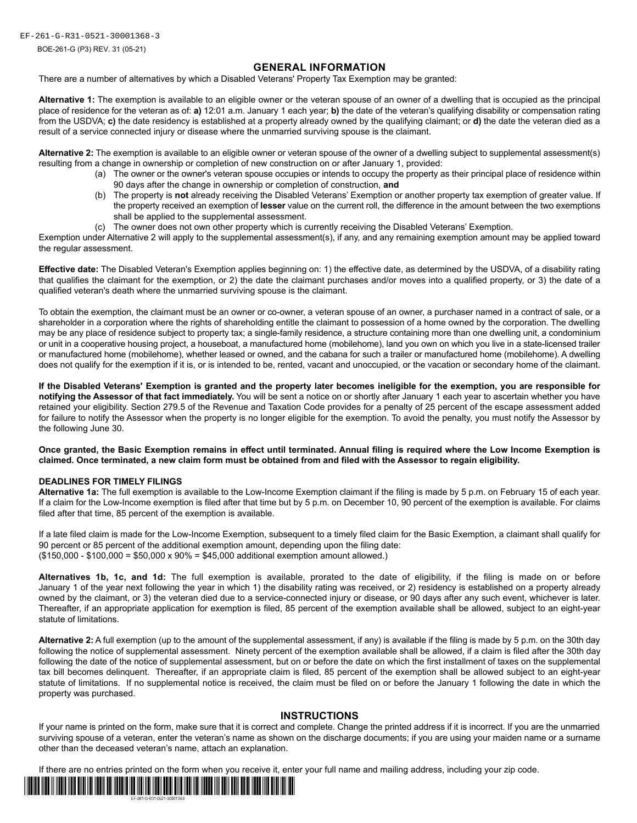EF-261-G-R31-0521-30001368-3

BOE-261-G (P3) REV. 31 (05-21)

## **GENERAL INFORMATION**

There are a number of alternatives by which a Disabled Veterans' Property Tax Exemption may be granted:

**Alternative 1:** The exemption is available to an eligible owner or the veteran spouse of an owner of a dwelling that is occupied as the principal place of residence for the veteran as of: **a)** 12:01 a.m. January 1 each year; **b)** the date of the veteran's qualifying disability or compensation rating from the USDVA; **c)** the date residency is established at a property already owned by the qualifying claimant; or **d)** the date the veteran died as a result of a service connected injury or disease where the unmarried surviving spouse is the claimant.

**Alternative 2:** The exemption is available to an eligible owner or veteran spouse of the owner of a dwelling subject to supplemental assessment(s) resulting from a change in ownership or completion of new construction on or after January 1, provided:

- (a) The owner or the owner's veteran spouse occupies or intends to occupy the property as their principal place of residence within 90 days after the change in ownership or completion of construction, **and**
- (b) The property is **not** already receiving the Disabled Veterans' Exemption or another property tax exemption of greater value. If the property received an exemption of **lesser** value on the current roll, the difference in the amount between the two exemptions shall be applied to the supplemental assessment.
- (c) The owner does not own other property which is currently receiving the Disabled Veterans' Exemption.

Exemption under Alternative 2 will apply to the supplemental assessment(s), if any, and any remaining exemption amount may be applied toward the regular assessment.

**Effective date:** The Disabled Veteran's Exemption applies beginning on: 1) the effective date, as determined by the USDVA, of a disability rating that qualifies the claimant for the exemption, or 2) the date the claimant purchases and/or moves into a qualified property, or 3) the date of a qualified veteran's death where the unmarried surviving spouse is the claimant.

To obtain the exemption, the claimant must be an owner or co-owner, a veteran spouse of an owner, a purchaser named in a contract of sale, or a shareholder in a corporation where the rights of shareholding entitle the claimant to possession of a home owned by the corporation. The dwelling may be any place of residence subject to property tax; a single-family residence, a structure containing more than one dwelling unit, a condominium or unit in a cooperative housing project, a houseboat, a manufactured home (mobilehome), land you own on which you live in a state-licensed trailer or manufactured home (mobilehome), whether leased or owned, and the cabana for such a trailer or manufactured home (mobilehome). A dwelling does not qualify for the exemption if it is, or is intended to be, rented, vacant and unoccupied, or the vacation or secondary home of the claimant.

**If the Disabled Veterans' Exemption is granted and the property later becomes ineligible for the exemption, you are responsible for notifying the Assessor of that fact immediately.** You will be sent a notice on or shortly after January 1 each year to ascertain whether you have retained your eligibility. Section 279.5 of the Revenue and Taxation Code provides for a penalty of 25 percent of the escape assessment added for failure to notify the Assessor when the property is no longer eligible for the exemption. To avoid the penalty, you must notify the Assessor by the following June 30.

**Once granted, the Basic Exemption remains in effect until terminated. Annual filing is required where the Low Income Exemption is claimed. Once terminated, a new claim form must be obtained from and filed with the Assessor to regain eligibility.**

### **DEADLINES FOR TIMELY FILINGS**

**Alternative 1a:** The full exemption is available to the Low-Income Exemption claimant if the filing is made by 5 p.m. on February 15 of each year. If a claim for the Low-Income exemption is filed after that time but by 5 p.m. on December 10, 90 percent of the exemption is available. For claims filed after that time, 85 percent of the exemption is available.

If a late filed claim is made for the Low-Income Exemption, subsequent to a timely filed claim for the Basic Exemption, a claimant shall qualify for 90 percent or 85 percent of the additional exemption amount, depending upon the filing date: (\$150,000 - \$100,000 = \$50,000 x 90% = \$45,000 additional exemption amount allowed.)

**Alternatives 1b, 1c, and 1d:** The full exemption is available, prorated to the date of eligibility, if the filing is made on or before January 1 of the year next following the year in which 1) the disability rating was received, or 2) residency is established on a property already owned by the claimant, or 3) the veteran died due to a service-connected injury or disease, or 90 days after any such event, whichever is later. Thereafter, if an appropriate application for exemption is filed, 85 percent of the exemption available shall be allowed, subject to an eight-year statute of limitations.

**Alternative 2:** A full exemption (up to the amount of the supplemental assessment, if any) is available if the filing is made by 5 p.m. on the 30th day following the notice of supplemental assessment. Ninety percent of the exemption available shall be allowed, if a claim is filed after the 30th day following the date of the notice of supplemental assessment, but on or before the date on which the first installment of taxes on the supplemental tax bill becomes delinquent. Thereafter, if an appropriate claim is filed, 85 percent of the exemption shall be allowed subject to an eight-year statute of limitations. If no supplemental notice is received, the claim must be filed on or before the January 1 following the date in which the property was purchased.

### **INSTRUCTIONS**

If your name is printed on the form, make sure that it is correct and complete. Change the printed address if it is incorrect. If you are the unmarried surviving spouse of a veteran, enter the veteran's name as shown on the discharge documents; if you are using your maiden name or a surname other than the deceased veteran's name, attach an explanation.

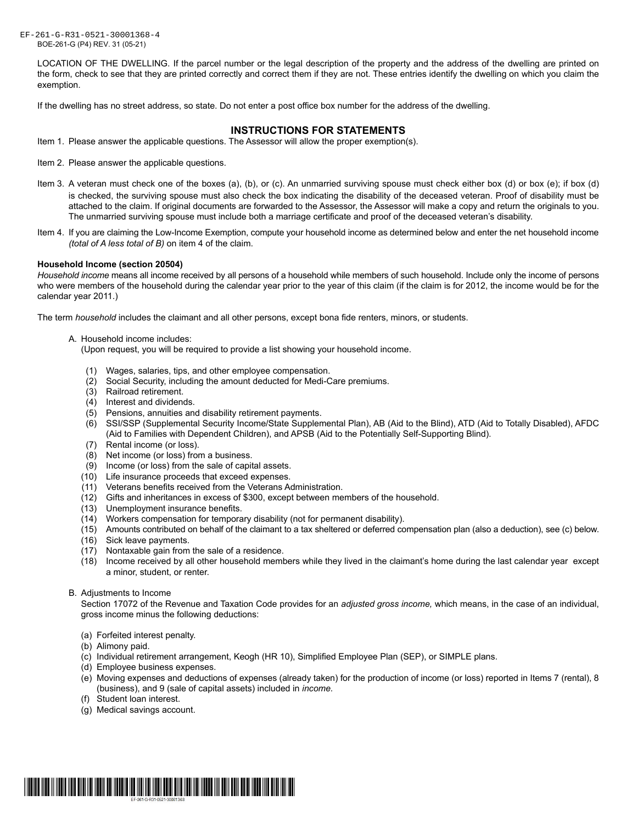BOE-261-G (P4) REV. 31 (05-21) EF-261-G-R31-0521-30001368-4

> LOCATION OF THE DWELLING. If the parcel number or the legal description of the property and the address of the dwelling are printed on the form, check to see that they are printed correctly and correct them if they are not. These entries identify the dwelling on which you claim the exemption.

If the dwelling has no street address, so state. Do not enter a post office box number for the address of the dwelling.

## **INSTRUCTIONS FOR STATEMENTS**

- Item 1. Please answer the applicable questions. The Assessor will allow the proper exemption(s).
- Item 2. Please answer the applicable questions.
- Item 3. A veteran must check one of the boxes (a), (b), or (c). An unmarried surviving spouse must check either box (d) or box (e); if box (d) is checked, the surviving spouse must also check the box indicating the disability of the deceased veteran. Proof of disability must be attached to the claim. If original documents are forwarded to the Assessor, the Assessor will make a copy and return the originals to you. The unmarried surviving spouse must include both a marriage certificate and proof of the deceased veteran's disability.
- Item 4. If you are claiming the Low-Income Exemption, compute your household income as determined below and enter the net household income *(total of A less total of B)* on item 4 of the claim.

#### **Household Income (section 20504)**

*Household income* means all income received by all persons of a household while members of such household. Include only the income of persons who were members of the household during the calendar year prior to the year of this claim (if the claim is for 2012, the income would be for the calendar year 2011.)

The term *household* includes the claimant and all other persons, except bona fide renters, minors, or students.

A. Household income includes:

(Upon request, you will be required to provide a list showing your household income.

- (1) Wages, salaries, tips, and other employee compensation.
- (2) Social Security, including the amount deducted for Medi-Care premiums.
- (3) Railroad retirement.
- (4) Interest and dividends.
- (5) Pensions, annuities and disability retirement payments.
- (6) SSI/SSP (Supplemental Security Income/State Supplemental Plan), AB (Aid to the Blind), ATD (Aid to Totally Disabled), AFDC (Aid to Families with Dependent Children), and APSB (Aid to the Potentially Self-Supporting Blind).
- (7) Rental income (or loss).
- (8) Net income (or loss) from a business.
- (9) Income (or loss) from the sale of capital assets.
- (10) Life insurance proceeds that exceed expenses.
- (11) Veterans benefits received from the Veterans Administration.
- (12) Gifts and inheritances in excess of \$300, except between members of the household.
- (13) Unemployment insurance benefits.
- (14) Workers compensation for temporary disability (not for permanent disability).
- (15) Amounts contributed on behalf of the claimant to a tax sheltered or deferred compensation plan (also a deduction), see (c) below.
- (16) Sick leave payments.
- (17) Nontaxable gain from the sale of a residence.
- (18) Income received by all other household members while they lived in the claimant's home during the last calendar year except a minor, student, or renter.
- B. Adjustments to Income

Section 17072 of the Revenue and Taxation Code provides for an *adjusted gross income,* which means, in the case of an individual, gross income minus the following deductions:

- (a) Forfeited interest penalty.
- (b) Alimony paid.
- (c) Individual retirement arrangement, Keogh (HR 10), Simplified Employee Plan (SEP), or SIMPLE plans.
- (d) Employee business expenses.
- (e) Moving expenses and deductions of expenses (already taken) for the production of income (or loss) reported in Items 7 (rental), 8 (business), and 9 (sale of capital assets) included in *income.*
- (f) Student loan interest.
- (g) Medical savings account.